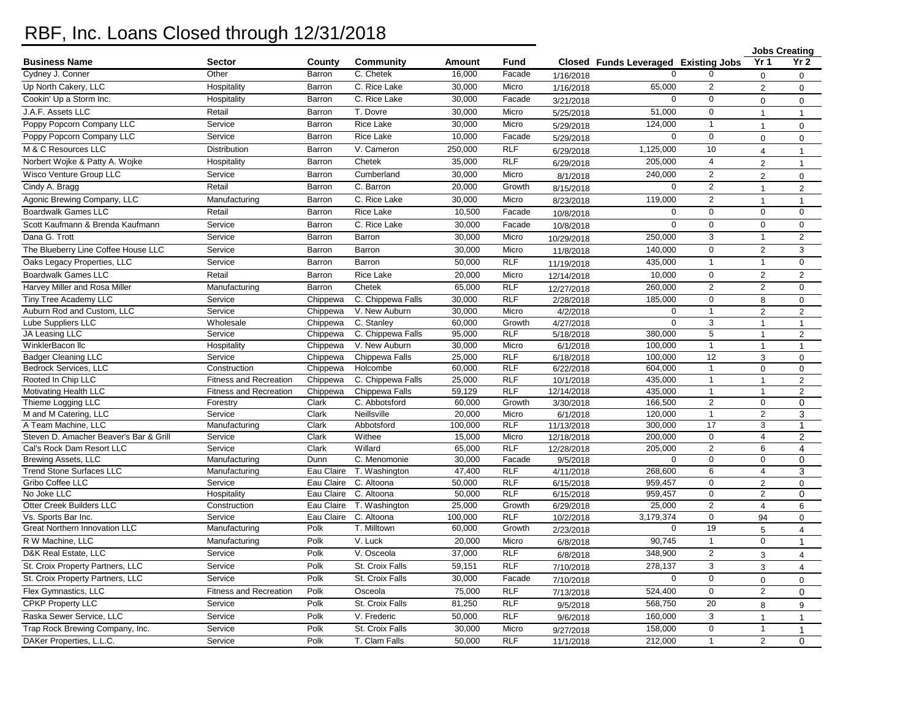## RBF, Inc. Loans Closed through 12/31/2018

|                                        |                               |                      |                                    |                  |                     |                        |                                      |                    |                              | <b>Jobs Creating</b> |
|----------------------------------------|-------------------------------|----------------------|------------------------------------|------------------|---------------------|------------------------|--------------------------------------|--------------------|------------------------------|----------------------|
| <b>Business Name</b>                   | <b>Sector</b>                 | County               | <b>Community</b>                   | Amount           | Fund                |                        | Closed Funds Leveraged Existing Jobs |                    | Yr <sub>1</sub>              | Yr 2                 |
| Cydney J. Conner                       | Other                         | Barron               | C. Chetek                          | 16,000           | Facade              | 1/16/2018              |                                      |                    | $\mathbf{0}$                 | $\mathbf 0$          |
| Up North Cakery, LLC                   | Hospitality                   | Barron               | C. Rice Lake                       | 30.000           | Micro               | 1/16/2018              | 65,000                               | $\overline{2}$     | 2                            | $\mathbf 0$          |
| Cookin' Up a Storm Inc.                | Hospitality                   | Barron               | C. Rice Lake                       | 30,000           | Facade              | 3/21/2018              | $\mathbf 0$                          | $\mathbf{0}$       | $\Omega$                     | $\Omega$             |
| J.A.F. Assets LLC                      | Retail                        | Barron               | T. Dovre                           | 30,000           | Micro               | 5/25/2018              | 51,000                               | 0                  | $\overline{1}$               | $\mathbf{1}$         |
| Poppy Popcorn Company LLC              | Service                       | Barron               | Rice Lake                          | 30,000           | Micro               | 5/29/2018              | 124,000                              | $\mathbf{1}$       | $\overline{1}$               | $\mathbf 0$          |
| Poppy Popcorn Company LLC              | Service                       | Barron               | <b>Rice Lake</b>                   | 10,000           | Facade              | 5/29/2018              | $\mathbf 0$                          | 0                  | $\Omega$                     | $\mathbf 0$          |
| M & C Resources LLC                    | Distribution                  | Barron               | V. Cameron                         | 250,000          | <b>RLF</b>          | 6/29/2018              | 1,125,000                            | 10                 | $\overline{4}$               | $\mathbf{1}$         |
| Norbert Wojke & Patty A. Wojke         | Hospitality                   | Barron               | Chetek                             | 35,000           | <b>RLF</b>          | 6/29/2018              | 205,000                              | $\overline{4}$     | $\overline{2}$               | $\mathbf{1}$         |
| Wisco Venture Group LLC                | Service                       | Barron               | Cumberland                         | 30,000           | Micro               | 8/1/2018               | 240,000                              | $\overline{2}$     | $\overline{2}$               | 0                    |
| Cindy A. Bragg                         | Retail                        | Barron               | C. Barron                          | 20,000           | Growth              | 8/15/2018              | $\mathbf 0$                          | $\overline{2}$     | $\mathbf{1}$                 | 2                    |
| Agonic Brewing Company, LLC            | Manufacturing                 | Barron               | C. Rice Lake                       | 30.000           | Micro               | 8/23/2018              | 119,000                              | $\overline{2}$     | $\overline{1}$               | $\mathbf{1}$         |
| <b>Boardwalk Games LLC</b>             | Retail                        | Barron               | <b>Rice Lake</b>                   | 10,500           | Facade              |                        | $\mathbf 0$                          | $\mathbf{0}$       | $\mathbf{0}$                 | $\mathbf 0$          |
| Scott Kaufmann & Brenda Kaufmann       | Service                       | Barron               | C. Rice Lake                       | 30,000           | Facade              | 10/8/2018              | $\mathbf 0$                          | $\mathbf{0}$       | $\mathbf{0}$                 | $\mathbf 0$          |
| Dana G. Trott                          | Service                       | Barron               | Barron                             | 30,000           | Micro               | 10/8/2018              | 250,000                              | 3                  | $\mathbf{1}$                 | $\overline{2}$       |
| The Blueberry Line Coffee House LLC    | Service                       | Barron               | Barron                             | 30,000           | Micro               | 10/29/2018             | 140,000                              | $\mathbf 0$        | 2                            | 3                    |
|                                        |                               |                      |                                    |                  |                     | 11/8/2018              |                                      |                    |                              |                      |
| Oaks Legacy Properties, LLC            | Service                       | Barron               | Barron                             | 50,000           | <b>RLF</b>          | 11/19/2018             | 435.000                              | $\mathbf{1}$       | $\overline{1}$               | 0                    |
| <b>Boardwalk Games LLC</b>             | Retail                        | Barron               | <b>Rice Lake</b>                   | 20,000           | Micro               | 12/14/2018             | 10,000                               | $\mathsf 0$        | $\overline{2}$               | 2                    |
| Harvey Miller and Rosa Miller          | Manufacturing                 | Barron               | Chetek                             | 65,000           | <b>RLF</b>          | 12/27/2018             | 260,000                              | $\overline{2}$     | $\overline{2}$               | $\mathbf 0$          |
| Tiny Tree Academy LLC                  | Service                       | Chippewa             | C. Chippewa Falls                  | 30,000           | <b>RLF</b>          | 2/28/2018              | 185,000                              | $\mathbf 0$        | 8                            | 0                    |
| Auburn Rod and Custom, LLC             | Service                       | Chippewa             | V. New Auburn                      | 30.000           | Micro               | 4/2/2018               | $\Omega$                             | $\overline{1}$     | $\overline{2}$               | $\overline{2}$       |
| <b>Lube Suppliers LLC</b>              | Wholesale                     | Chippewa             | C. Stanley                         | 60,000           | Growth              | 4/27/2018              | $\mathbf 0$                          | 3                  | $\overline{1}$               | $\mathbf{1}$         |
| JA Leasing LLC<br>WinklerBacon Ilc     | Service                       | Chippewa             | C. Chippewa Falls<br>V. New Auburn | 95,000<br>30,000 | <b>RLF</b><br>Micro | 5/18/2018              | 380,000<br>100,000                   | 5                  | $\mathbf{1}$                 | 2                    |
| <b>Badger Cleaning LLC</b>             | Hospitality<br>Service        | Chippewa<br>Chippewa | Chippewa Falls                     | 25,000           | <b>RLF</b>          | 6/1/2018               | 100,000                              | $\mathbf{1}$<br>12 | $\mathbf{1}$<br>$\mathbf{3}$ | $\mathbf{1}$         |
| <b>Bedrock Services, LLC</b>           | Construction                  | Chippewa             | Holcombe                           | 60,000           | <b>RLF</b>          | 6/18/2018<br>6/22/2018 | 604.000                              | $\mathbf{1}$       | $\Omega$                     | 0<br>0               |
| Rooted In Chip LLC                     | <b>Fitness and Recreation</b> | Chippewa             | C. Chippewa Falls                  | 25,000           | <b>RLF</b>          | 10/1/2018              | 435,000                              | $\mathbf{1}$       | $\overline{1}$               | $\overline{2}$       |
| Motivating Health LLC                  | Fitness and Recreation        | Chippewa             | Chippewa Falls                     | 59,129           | <b>RLF</b>          | 12/14/2018             | 435.000                              | $\mathbf{1}$       | $\overline{1}$               | $\overline{2}$       |
| Thieme Logging LLC                     | Forestry                      | Clark                | C. Abbotsford                      | 60,000           | Growth              | 3/30/2018              | 166,500                              | $\overline{2}$     | $\mathbf 0$                  | $\mathbf 0$          |
| M and M Catering, LLC                  | Service                       | Clark                | Neillsville                        | 20,000           | Micro               | 6/1/2018               | 120,000                              | $\mathbf{1}$       | $\overline{2}$               | 3                    |
| A Team Machine, LLC                    | Manufacturing                 | Clark                | Abbotsford                         | 100,000          | <b>RLF</b>          | 11/13/2018             | 300,000                              | 17                 | 3                            | 1                    |
| Steven D. Amacher Beaver's Bar & Grill | Service                       | Clark                | Withee                             | 15,000           | Micro               | 12/18/2018             | 200,000                              | $\pmb{0}$          | $\overline{\mathbf{4}}$      | $\overline{c}$       |
| Cal's Rock Dam Resort LLC              | Service                       | Clark                | Willard                            | 65,000           | <b>RLF</b>          | 12/28/2018             | 205,000                              | $\overline{2}$     | 6                            | 4                    |
| <b>Brewing Assets, LLC</b>             | Manufacturing                 | Dunn                 | C. Menomonie                       | 30,000           | Facade              | 9/5/2018               | $\Omega$                             | $\mathbf 0$        | $\mathbf 0$                  | $\mathbf 0$          |
| <b>Trend Stone Surfaces LLC</b>        | Manufacturing                 | Eau Claire           | T. Washington                      | 47,400           | <b>RLF</b>          | 4/11/2018              | 268,600                              | 6                  | $\overline{4}$               | 3                    |
| Gribo Coffee LLC                       | Service                       | Eau Claire           | C. Altoona                         | 50,000           | RLF                 | 6/15/2018              | 959,457                              | 0                  | $\overline{2}$               | $\mathbf 0$          |
| No Joke LLC                            | Hospitality                   | Eau Claire           | C. Altoona                         | 50,000           | <b>RLF</b>          | 6/15/2018              | 959,457                              | $\mathbf 0$        | $\overline{2}$               | $\pmb{0}$            |
| Otter Creek Builders LLC               | Construction                  | Eau Claire           | T. Washington                      | 25,000           | Growth              | 6/29/2018              | 25,000                               | $\overline{2}$     | $\overline{4}$               | 6                    |
| Vs. Sports Bar Inc.                    | Service                       | Eau Claire           | C. Altoona                         | 100,000          | <b>RLF</b>          | 10/2/2018              | 3,179,374                            | $\pmb{0}$          | 94                           | 0                    |
| <b>Great Northern Innovation LLC</b>   | Manufacturing                 | Polk                 | T. Milltown                        | 60,000           | Growth              | 2/23/2018              | $\Omega$                             | 19                 | 5                            | $\overline{4}$       |
| R W Machine, LLC                       | Manufacturing                 | Polk                 | V. Luck                            | 20,000           | Micro               | 6/8/2018               | 90,745                               | $\mathbf{1}$       | $\mathbf 0$                  | 1                    |
| D&K Real Estate, LLC                   | Service                       | Polk                 | V. Osceola                         | 37,000           | <b>RLF</b>          | 6/8/2018               | 348,900                              | $\overline{2}$     | 3                            | $\overline{4}$       |
| St. Croix Property Partners, LLC       | Service                       | Polk                 | St. Croix Falls                    | 59,151           | <b>RLF</b>          | 7/10/2018              | 278,137                              | 3                  | 3                            | $\overline{4}$       |
| St. Croix Property Partners, LLC       | Service                       | Polk                 | St. Croix Falls                    | 30,000           | Facade              | 7/10/2018              | $\mathbf 0$                          | $\mathbf{0}$       | $\mathbf 0$                  | $\mathbf 0$          |
| Flex Gymnastics, LLC                   | Fitness and Recreation        | Polk                 | Osceola                            | 75,000           | <b>RLF</b>          | 7/13/2018              | 524,400                              | $\mathbf{0}$       | $\overline{2}$               | $\Omega$             |
| <b>CPKP Property LLC</b>               | Service                       | Polk                 | St. Croix Falls                    | 81,250           | <b>RLF</b>          | 9/5/2018               | 568,750                              | 20                 | 8                            | 9                    |
| Raska Sewer Service, LLC               | Service                       | Polk                 | V. Frederic                        | 50,000           | <b>RLF</b>          | 9/6/2018               | 160,000                              | 3                  | $\mathbf{1}$                 | $\mathbf{1}$         |
| Trap Rock Brewing Company, Inc.        | Service                       | Polk                 | St. Croix Falls                    | 30,000           | Micro               | 9/27/2018              | 158,000                              | $\mathbf 0$        | $\overline{1}$               | $\mathbf{1}$         |
| DAKer Properties, L.L.C.               | Service                       | Polk                 | T. Clam Falls                      | 50,000           | <b>RLF</b>          | 11/1/2018              | 212,000                              | $\mathbf{1}$       | $\overline{2}$               | $\mathbf 0$          |
|                                        |                               |                      |                                    |                  |                     |                        |                                      |                    |                              |                      |